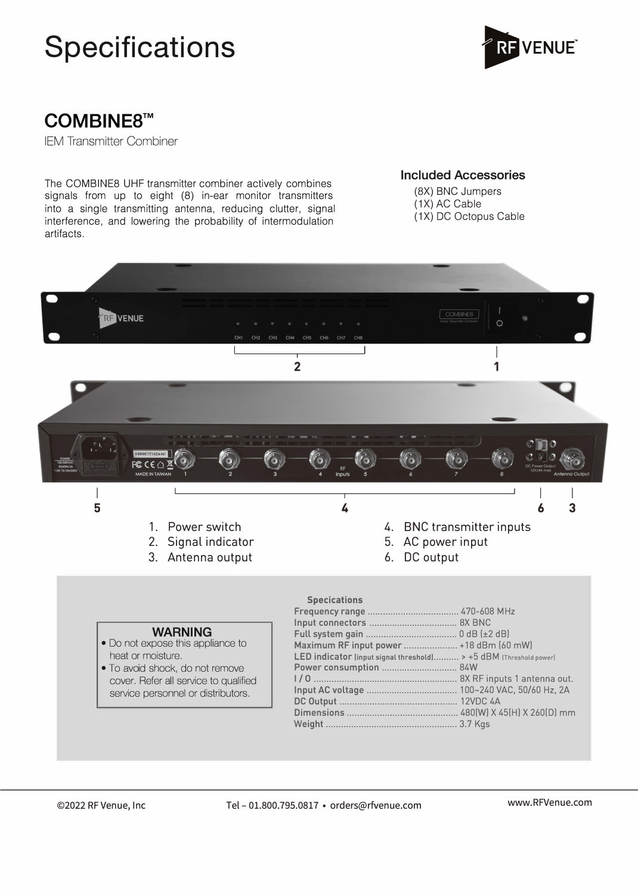# **Specifications** *p***<sub>RF</sub>** venue



### **COMBINES™**

IEM Transmitter Combiner

The COMBINES UHF transmitter combiner actively combines signals from up to eight (8) in-ear monitor transmitters into a single transmitting antenna, reducing clutter, signal interference, and lowering the probability of intermodulation artifacts.

#### **Included Accessories**

(BX) BNC Jumpers (1X) AC Cable (1X) DC Octopus Cable